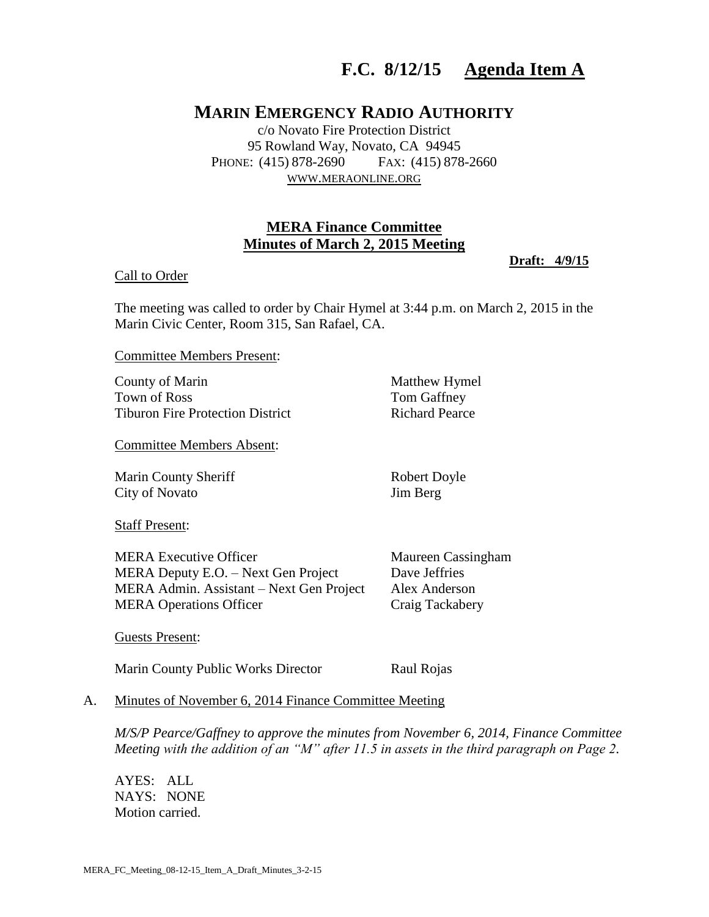# **F.C. 8/12/15 Agenda Item A**

## **MARIN EMERGENCY RADIO AUTHORITY**

c/o Novato Fire Protection District 95 Rowland Way, Novato, CA 94945 PHONE: (415) 878-2690 FAX: (415) 878-2660 WWW.[MERAONLINE](http://www.meraonline.org/).ORG

## **MERA Finance Committee Minutes of March 2, 2015 Meeting**

#### Call to Order

#### **Draft: 4/9/15**

The meeting was called to order by Chair Hymel at 3:44 p.m. on March 2, 2015 in the Marin Civic Center, Room 315, San Rafael, CA.

Committee Members Present:

County of Marin Matthew Hymel Town of Ross Tom Gaffney Tiburon Fire Protection District Richard Pearce

Committee Members Absent:

Marin County Sheriff Robert Doyle City of Novato Jim Berg

Staff Present:

MERA Executive Officer Maureen Cassingham MERA Deputy E.O. – Next Gen Project Dave Jeffries MERA Admin. Assistant – Next Gen Project Alex Anderson MERA Operations Officer Craig Tackabery

Guests Present:

Marin County Public Works Director Raul Rojas

#### A. Minutes of November 6, 2014 Finance Committee Meeting

*M/S/P Pearce/Gaffney to approve the minutes from November 6, 2014, Finance Committee Meeting with the addition of an "M" after 11.5 in assets in the third paragraph on Page 2.*

AYES: ALL NAYS: NONE Motion carried.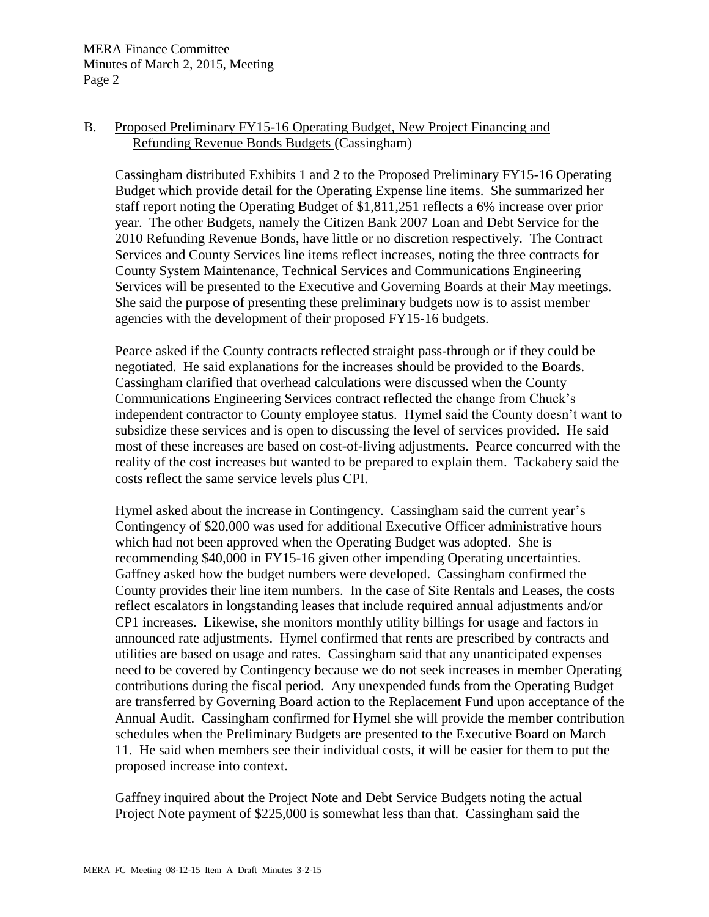#### B. Proposed Preliminary FY15-16 Operating Budget, New Project Financing and Refunding Revenue Bonds Budgets (Cassingham)

Cassingham distributed Exhibits 1 and 2 to the Proposed Preliminary FY15-16 Operating Budget which provide detail for the Operating Expense line items. She summarized her staff report noting the Operating Budget of \$1,811,251 reflects a 6% increase over prior year. The other Budgets, namely the Citizen Bank 2007 Loan and Debt Service for the 2010 Refunding Revenue Bonds, have little or no discretion respectively. The Contract Services and County Services line items reflect increases, noting the three contracts for County System Maintenance, Technical Services and Communications Engineering Services will be presented to the Executive and Governing Boards at their May meetings. She said the purpose of presenting these preliminary budgets now is to assist member agencies with the development of their proposed FY15-16 budgets.

Pearce asked if the County contracts reflected straight pass-through or if they could be negotiated. He said explanations for the increases should be provided to the Boards. Cassingham clarified that overhead calculations were discussed when the County Communications Engineering Services contract reflected the change from Chuck's independent contractor to County employee status. Hymel said the County doesn't want to subsidize these services and is open to discussing the level of services provided. He said most of these increases are based on cost-of-living adjustments. Pearce concurred with the reality of the cost increases but wanted to be prepared to explain them. Tackabery said the costs reflect the same service levels plus CPI.

Hymel asked about the increase in Contingency. Cassingham said the current year's Contingency of \$20,000 was used for additional Executive Officer administrative hours which had not been approved when the Operating Budget was adopted. She is recommending \$40,000 in FY15-16 given other impending Operating uncertainties. Gaffney asked how the budget numbers were developed. Cassingham confirmed the County provides their line item numbers. In the case of Site Rentals and Leases, the costs reflect escalators in longstanding leases that include required annual adjustments and/or CP1 increases. Likewise, she monitors monthly utility billings for usage and factors in announced rate adjustments. Hymel confirmed that rents are prescribed by contracts and utilities are based on usage and rates. Cassingham said that any unanticipated expenses need to be covered by Contingency because we do not seek increases in member Operating contributions during the fiscal period. Any unexpended funds from the Operating Budget are transferred by Governing Board action to the Replacement Fund upon acceptance of the Annual Audit. Cassingham confirmed for Hymel she will provide the member contribution schedules when the Preliminary Budgets are presented to the Executive Board on March 11. He said when members see their individual costs, it will be easier for them to put the proposed increase into context.

Gaffney inquired about the Project Note and Debt Service Budgets noting the actual Project Note payment of \$225,000 is somewhat less than that. Cassingham said the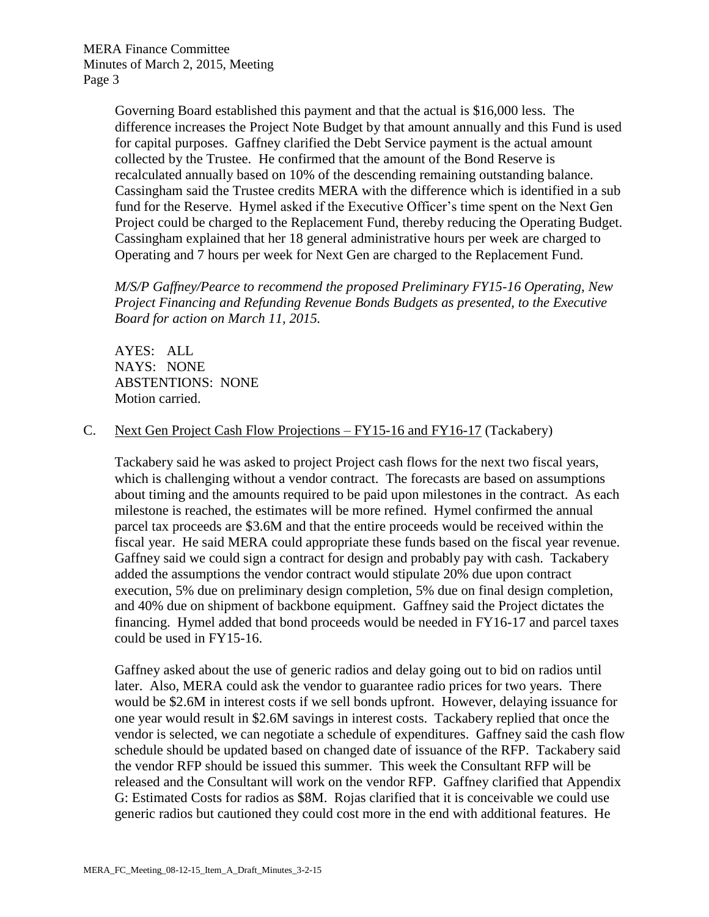Governing Board established this payment and that the actual is \$16,000 less. The difference increases the Project Note Budget by that amount annually and this Fund is used for capital purposes. Gaffney clarified the Debt Service payment is the actual amount collected by the Trustee. He confirmed that the amount of the Bond Reserve is recalculated annually based on 10% of the descending remaining outstanding balance. Cassingham said the Trustee credits MERA with the difference which is identified in a sub fund for the Reserve. Hymel asked if the Executive Officer's time spent on the Next Gen Project could be charged to the Replacement Fund, thereby reducing the Operating Budget. Cassingham explained that her 18 general administrative hours per week are charged to Operating and 7 hours per week for Next Gen are charged to the Replacement Fund.

*M/S/P Gaffney/Pearce to recommend the proposed Preliminary FY15-16 Operating, New Project Financing and Refunding Revenue Bonds Budgets as presented, to the Executive Board for action on March 11, 2015.* 

AYES: ALL NAYS: NONE ABSTENTIONS: NONE Motion carried.

#### C. Next Gen Project Cash Flow Projections – FY15-16 and FY16-17 (Tackabery)

Tackabery said he was asked to project Project cash flows for the next two fiscal years, which is challenging without a vendor contract. The forecasts are based on assumptions about timing and the amounts required to be paid upon milestones in the contract. As each milestone is reached, the estimates will be more refined. Hymel confirmed the annual parcel tax proceeds are \$3.6M and that the entire proceeds would be received within the fiscal year. He said MERA could appropriate these funds based on the fiscal year revenue. Gaffney said we could sign a contract for design and probably pay with cash. Tackabery added the assumptions the vendor contract would stipulate 20% due upon contract execution, 5% due on preliminary design completion, 5% due on final design completion, and 40% due on shipment of backbone equipment. Gaffney said the Project dictates the financing. Hymel added that bond proceeds would be needed in FY16-17 and parcel taxes could be used in FY15-16.

Gaffney asked about the use of generic radios and delay going out to bid on radios until later. Also, MERA could ask the vendor to guarantee radio prices for two years. There would be \$2.6M in interest costs if we sell bonds upfront. However, delaying issuance for one year would result in \$2.6M savings in interest costs. Tackabery replied that once the vendor is selected, we can negotiate a schedule of expenditures. Gaffney said the cash flow schedule should be updated based on changed date of issuance of the RFP. Tackabery said the vendor RFP should be issued this summer. This week the Consultant RFP will be released and the Consultant will work on the vendor RFP. Gaffney clarified that Appendix G: Estimated Costs for radios as \$8M. Rojas clarified that it is conceivable we could use generic radios but cautioned they could cost more in the end with additional features. He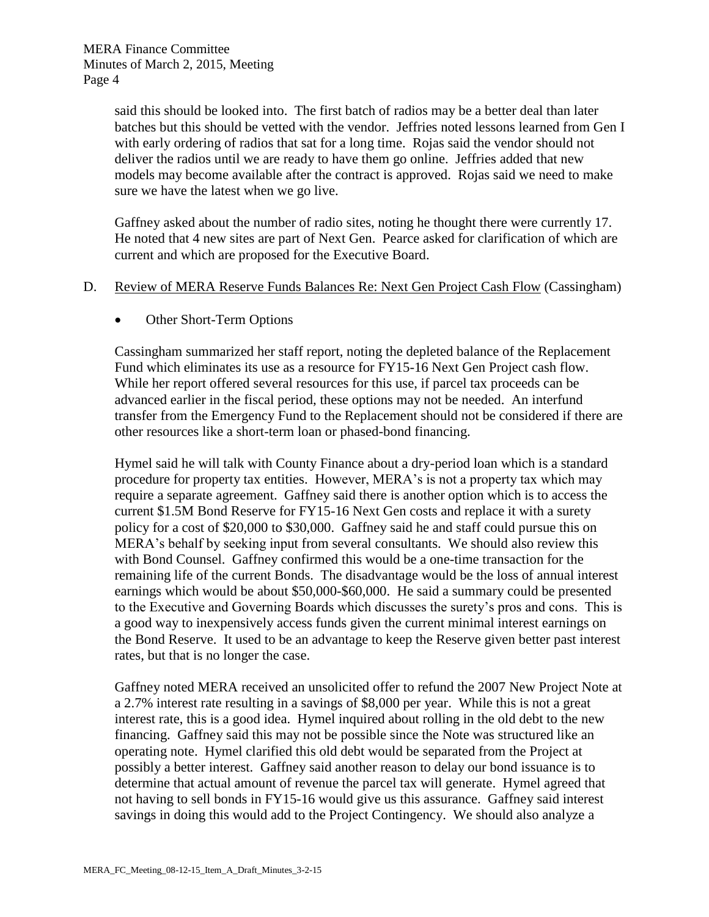said this should be looked into. The first batch of radios may be a better deal than later batches but this should be vetted with the vendor. Jeffries noted lessons learned from Gen I with early ordering of radios that sat for a long time. Rojas said the vendor should not deliver the radios until we are ready to have them go online. Jeffries added that new models may become available after the contract is approved. Rojas said we need to make sure we have the latest when we go live.

Gaffney asked about the number of radio sites, noting he thought there were currently 17. He noted that 4 new sites are part of Next Gen. Pearce asked for clarification of which are current and which are proposed for the Executive Board.

#### D. Review of MERA Reserve Funds Balances Re: Next Gen Project Cash Flow (Cassingham)

• Other Short-Term Options

Cassingham summarized her staff report, noting the depleted balance of the Replacement Fund which eliminates its use as a resource for FY15-16 Next Gen Project cash flow. While her report offered several resources for this use, if parcel tax proceeds can be advanced earlier in the fiscal period, these options may not be needed. An interfund transfer from the Emergency Fund to the Replacement should not be considered if there are other resources like a short-term loan or phased-bond financing.

Hymel said he will talk with County Finance about a dry-period loan which is a standard procedure for property tax entities. However, MERA's is not a property tax which may require a separate agreement. Gaffney said there is another option which is to access the current \$1.5M Bond Reserve for FY15-16 Next Gen costs and replace it with a surety policy for a cost of \$20,000 to \$30,000. Gaffney said he and staff could pursue this on MERA's behalf by seeking input from several consultants. We should also review this with Bond Counsel. Gaffney confirmed this would be a one-time transaction for the remaining life of the current Bonds. The disadvantage would be the loss of annual interest earnings which would be about \$50,000-\$60,000. He said a summary could be presented to the Executive and Governing Boards which discusses the surety's pros and cons. This is a good way to inexpensively access funds given the current minimal interest earnings on the Bond Reserve. It used to be an advantage to keep the Reserve given better past interest rates, but that is no longer the case.

Gaffney noted MERA received an unsolicited offer to refund the 2007 New Project Note at a 2.7% interest rate resulting in a savings of \$8,000 per year. While this is not a great interest rate, this is a good idea. Hymel inquired about rolling in the old debt to the new financing. Gaffney said this may not be possible since the Note was structured like an operating note. Hymel clarified this old debt would be separated from the Project at possibly a better interest. Gaffney said another reason to delay our bond issuance is to determine that actual amount of revenue the parcel tax will generate. Hymel agreed that not having to sell bonds in FY15-16 would give us this assurance. Gaffney said interest savings in doing this would add to the Project Contingency. We should also analyze a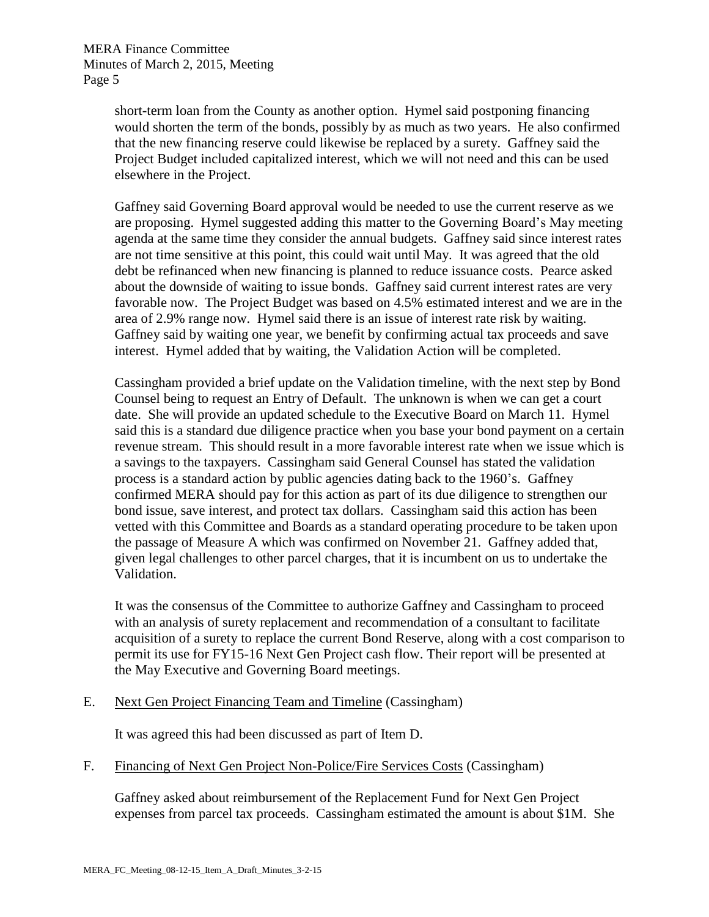short-term loan from the County as another option. Hymel said postponing financing would shorten the term of the bonds, possibly by as much as two years. He also confirmed that the new financing reserve could likewise be replaced by a surety. Gaffney said the Project Budget included capitalized interest, which we will not need and this can be used elsewhere in the Project.

Gaffney said Governing Board approval would be needed to use the current reserve as we are proposing. Hymel suggested adding this matter to the Governing Board's May meeting agenda at the same time they consider the annual budgets. Gaffney said since interest rates are not time sensitive at this point, this could wait until May. It was agreed that the old debt be refinanced when new financing is planned to reduce issuance costs. Pearce asked about the downside of waiting to issue bonds. Gaffney said current interest rates are very favorable now. The Project Budget was based on 4.5% estimated interest and we are in the area of 2.9% range now. Hymel said there is an issue of interest rate risk by waiting. Gaffney said by waiting one year, we benefit by confirming actual tax proceeds and save interest. Hymel added that by waiting, the Validation Action will be completed.

Cassingham provided a brief update on the Validation timeline, with the next step by Bond Counsel being to request an Entry of Default. The unknown is when we can get a court date. She will provide an updated schedule to the Executive Board on March 11. Hymel said this is a standard due diligence practice when you base your bond payment on a certain revenue stream. This should result in a more favorable interest rate when we issue which is a savings to the taxpayers. Cassingham said General Counsel has stated the validation process is a standard action by public agencies dating back to the 1960's. Gaffney confirmed MERA should pay for this action as part of its due diligence to strengthen our bond issue, save interest, and protect tax dollars. Cassingham said this action has been vetted with this Committee and Boards as a standard operating procedure to be taken upon the passage of Measure A which was confirmed on November 21. Gaffney added that, given legal challenges to other parcel charges, that it is incumbent on us to undertake the Validation.

It was the consensus of the Committee to authorize Gaffney and Cassingham to proceed with an analysis of surety replacement and recommendation of a consultant to facilitate acquisition of a surety to replace the current Bond Reserve, along with a cost comparison to permit its use for FY15-16 Next Gen Project cash flow. Their report will be presented at the May Executive and Governing Board meetings.

E. Next Gen Project Financing Team and Timeline (Cassingham)

It was agreed this had been discussed as part of Item D.

F. Financing of Next Gen Project Non-Police/Fire Services Costs (Cassingham)

Gaffney asked about reimbursement of the Replacement Fund for Next Gen Project expenses from parcel tax proceeds. Cassingham estimated the amount is about \$1M. She